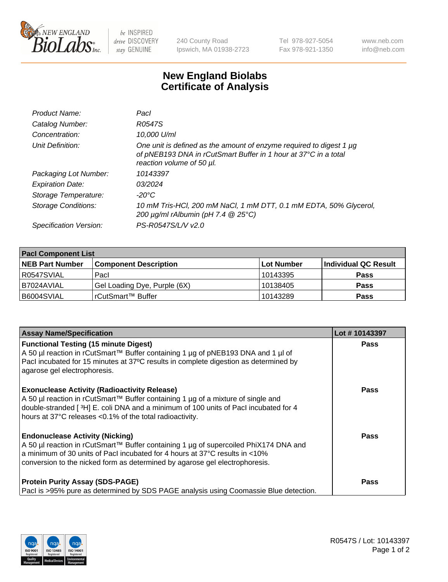

 $be$  INSPIRED drive DISCOVERY stay GENUINE

240 County Road Ipswich, MA 01938-2723 Tel 978-927-5054 Fax 978-921-1350 www.neb.com info@neb.com

## **New England Biolabs Certificate of Analysis**

| Product Name:           | Pacl                                                                                                                                                                |
|-------------------------|---------------------------------------------------------------------------------------------------------------------------------------------------------------------|
| Catalog Number:         | R0547S                                                                                                                                                              |
| Concentration:          | 10,000 U/ml                                                                                                                                                         |
| Unit Definition:        | One unit is defined as the amount of enzyme required to digest 1 µg<br>of pNEB193 DNA in rCutSmart Buffer in 1 hour at 37°C in a total<br>reaction volume of 50 µl. |
| Packaging Lot Number:   | 10143397                                                                                                                                                            |
| <b>Expiration Date:</b> | 03/2024                                                                                                                                                             |
| Storage Temperature:    | -20°C                                                                                                                                                               |
| Storage Conditions:     | 10 mM Tris-HCl, 200 mM NaCl, 1 mM DTT, 0.1 mM EDTA, 50% Glycerol,<br>200 $\mu$ g/ml rAlbumin (pH 7.4 $@$ 25°C)                                                      |
| Specification Version:  | PS-R0547S/L/V v2.0                                                                                                                                                  |
|                         |                                                                                                                                                                     |

| <b>Pacl Component List</b> |                              |             |                      |  |  |
|----------------------------|------------------------------|-------------|----------------------|--|--|
| <b>NEB Part Number</b>     | <b>Component Description</b> | ∣Lot Number | Individual QC Result |  |  |
| R0547SVIAL                 | Pacl                         | 10143395    | <b>Pass</b>          |  |  |
| B7024AVIAL                 | Gel Loading Dye, Purple (6X) | 10138405    | <b>Pass</b>          |  |  |
| B6004SVIAL                 | rCutSmart™ Buffer            | 10143289    | <b>Pass</b>          |  |  |

| <b>Assay Name/Specification</b>                                                                                                                                                                                                                                                              | Lot #10143397 |
|----------------------------------------------------------------------------------------------------------------------------------------------------------------------------------------------------------------------------------------------------------------------------------------------|---------------|
| <b>Functional Testing (15 minute Digest)</b><br>A 50 µl reaction in rCutSmart™ Buffer containing 1 µg of pNEB193 DNA and 1 µl of<br>PacI incubated for 15 minutes at 37°C results in complete digestion as determined by<br>agarose gel electrophoresis.                                     | <b>Pass</b>   |
| <b>Exonuclease Activity (Radioactivity Release)</b><br>A 50 µl reaction in rCutSmart™ Buffer containing 1 µg of a mixture of single and<br>double-stranded [3H] E. coli DNA and a minimum of 100 units of Pacl incubated for 4<br>hours at 37°C releases <0.1% of the total radioactivity.   | <b>Pass</b>   |
| <b>Endonuclease Activity (Nicking)</b><br>A 50 µl reaction in rCutSmart™ Buffer containing 1 µg of supercoiled PhiX174 DNA and<br>a minimum of 30 units of Pacl incubated for 4 hours at 37°C results in <10%<br>conversion to the nicked form as determined by agarose gel electrophoresis. | Pass          |
| <b>Protein Purity Assay (SDS-PAGE)</b><br>Pacl is >95% pure as determined by SDS PAGE analysis using Coomassie Blue detection.                                                                                                                                                               | Pass          |